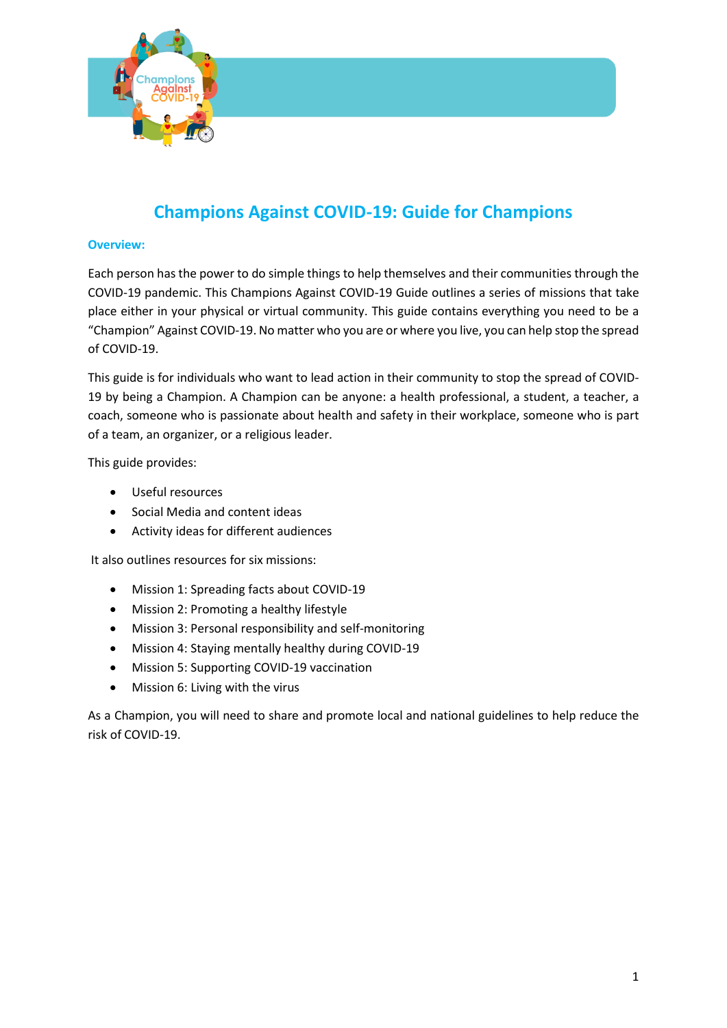

# **Champions Against COVID-19: Guide for Champions**

## **Overview:**

Each person hasthe power to do simple things to help themselves and their communities through the COVID-19 pandemic. This Champions Against COVID-19 Guide outlines a series of missions that take place either in your physical or virtual community. This guide contains everything you need to be a "Champion" Against COVID-19. No matter who you are or where you live, you can help stop the spread of COVID-19.

This guide is for individuals who want to lead action in their community to stop the spread of COVID-19 by being a Champion. A Champion can be anyone: a health professional, a student, a teacher, a coach, someone who is passionate about health and safety in their workplace, someone who is part of a team, an organizer, or a religious leader.

This guide provides:

- Useful resources
- Social Media and content ideas
- Activity ideas for different audiences

It also outlines resources for six missions:

- Mission 1: Spreading facts about COVID-19
- Mission 2: Promoting a healthy lifestyle
- Mission 3: Personal responsibility and self-monitoring
- Mission 4: Staying mentally healthy during COVID-19
- Mission 5: Supporting COVID-19 vaccination
- Mission 6: Living with the virus

As a Champion, you will need to share and promote local and national guidelines to help reduce the risk of COVID-19.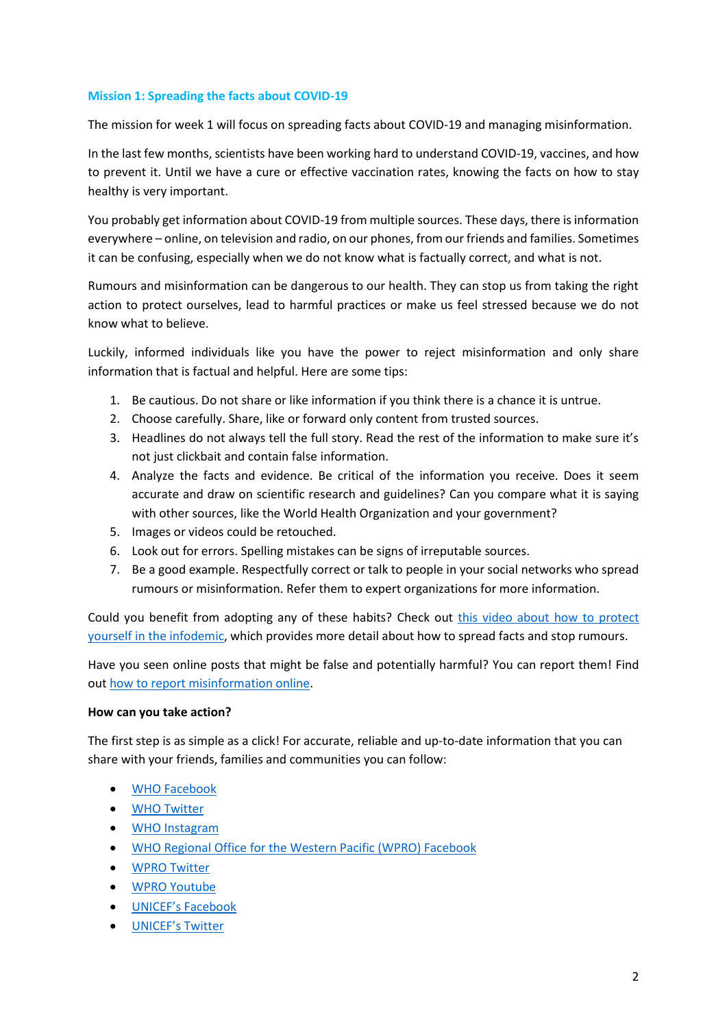## **Mission 1: Spreading the facts about COVID-19**

The mission for week 1 will focus on spreading facts about COVID-19 and managing misinformation.

In the last few months, scientists have been working hard to understand COVID-19, vaccines, and how to prevent it. Until we have a cure or effective vaccination rates, knowing the facts on how to stay healthy is very important.

You probably get information about COVID-19 from multiple sources. These days, there is information everywhere – online, on television and radio, on our phones, from our friends and families. Sometimes it can be confusing, especially when we do not know what is factually correct, and what is not.

Rumours and misinformation can be dangerous to our health. They can stop us from taking the right action to protect ourselves, lead to harmful practices or make us feel stressed because we do not know what to believe.

Luckily, informed individuals like you have the power to reject misinformation and only share information that is factual and helpful. Here are some tips:

- 1. Be cautious. Do not share or like information if you think there is a chance it is untrue.
- 2. Choose carefully. Share, like or forward only content from trusted sources.
- 3. Headlines do not always tell the full story. Read the rest of the information to make sure it's not just clickbait and contain false information.
- 4. Analyze the facts and evidence. Be critical of the information you receive. Does it seem accurate and draw on scientific research and guidelines? Can you compare what it is saying with other sources, like the World Health Organization and your government?
- 5. Images or videos could be retouched.
- 6. Look out for errors. Spelling mistakes can be signs of irreputable sources.
- 7. Be a good example. Respectfully correct or talk to people in your social networks who spread rumours or misinformation. Refer them to expert organizations for more information.

Could you benefit from adopting any of these habits? Check out [this video about how to protect](https://youtu.be/E5Egi0nuDEs)  [yourself in the infodemic,](https://youtu.be/E5Egi0nuDEs) which provides more detail about how to spread facts and stop rumours.

Have you seen online posts that might be false and potentially harmful? You can report them! Find out [how to report misinformation online.](https://www.who.int/campaigns/connecting-the-world-to-combat-coronavirus/how-to-report-misinformation-online?fbclid=IwAR2kO9fBPq4i2Z3jqo-P-HSd46Rrg4e57fEh6HTrz677MzcBKiJQgJ9N5Kw)

### **How can you take action?**

The first step is as simple as a click! For accurate, reliable and up-to-date information that you can share with your friends, families and communities you can follow:

- [WHO Facebook](https://www.facebook.com/WHO/)
- [WHO Twitter](https://mobile.twitter.com/who?lang=en)
- [WHO Instagram](https://www.instagram.com/who/?hl=en)
- [WHO Regional Office for the Western Pacific \(WPRO\) Facebook](https://www.facebook.com/whowpro)
- [WPRO Twitter](https://twitter.com/whowpro)
- [WPRO Youtube](https://www.youtube.com/channel/UC6LJqxyUlipQDnD6qpbltgg)
- [UNICEF's Facebook](https://www.facebook.com/unicef/)
- [UNICEF's Twitter](https://twitter.com/UNICEF)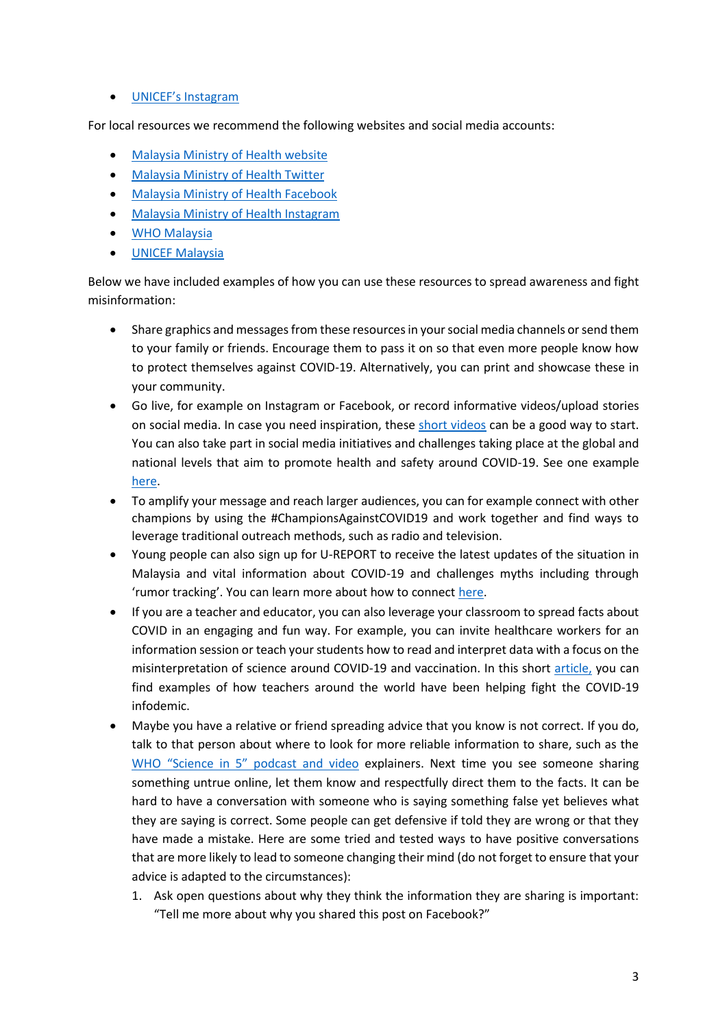• [UNICEF's Instagram](https://www.instagram.com/unicef/)

For local resources we recommend the following websites and social media accounts:

- [Malaysia Ministry of Health website](https://covid-19.moh.gov.my/)
- [Malaysia Ministry of Health Twitter](https://twitter.com/KKMPutrajaya?ref_src=twsrc%5Egoogle%7Ctwcamp%5Eserp%7Ctwgr%5Eauthor)
- [Malaysia Ministry of Health Facebook](https://www.facebook.com/kementeriankesihatanmalaysia/)
- [Malaysia Ministry of Health Instagram](https://www.instagram.com/kementeriankesihatanmalaysia/?hl=en)
- [WHO Malaysia](https://www.who.int/malaysia)
- [UNICEF Malaysia](https://covid-19.moh.gov.my/)

Below we have included examples of how you can use these resources to spread awareness and fight misinformation:

- Share graphics and messages from these resources in your social media channels or send them to your family or friends. Encourage them to pass it on so that even more people know how to protect themselves against COVID-19. Alternatively, you can print and showcase these in your community.
- Go live, for example on Instagram or Facebook, or record informative videos/upload stories on social media. In case you need inspiration, these [short videos](https://prezi.com/v/wjt_ih_qwq-a/introducing-youthagainstcovid19/) can be a good way to start. You can also take part in social media initiatives and challenges taking place at the global and national levels that aim to promote health and safety around COVID-19. See one example [here.](https://prezi.com/landing/youthagainstcovid19/)
- To amplify your message and reach larger audiences, you can for example connect with other champions by using the #ChampionsAgainstCOVID19 and work together and find ways to leverage traditional outreach methods, such as radio and television.
- Young people can also sign up for U-REPORT to receive the latest updates of the situation in Malaysia and vital information about COVID-19 and challenges myths including through 'rumor tracking'. You can learn more about how to connect [here.](https://www.unicef.org/indonesia/media/4191/file/Toolkit%20to%20Spread%20Awareness%20and%20Take%20Action%20on%20COVID-19.pdf)
- If you are a teacher and educator, you can also leverage your classroom to spread facts about COVID in an engaging and fun way. For example, you can invite healthcare workers for an information session or teach your students how to read and interpret data with a focus on the misinterpretation of science around COVID-19 and vaccination. In this short [article,](https://www.edutopia.org/article/science-lessons-tap-student-curiosity-about-covid-19) you can find examples of how teachers around the world have been helping fight the COVID-19 infodemic.
- Maybe you have a relative or friend spreading advice that you know is not correct. If you do, talk to that person about where to look for more reliable information to share, such as the [WHO "Science in 5" podcast and video](https://www.who.int/emergencies/diseases/novel-coronavirus-2019/media-resources/science-in-5) explainers. Next time you see someone sharing something untrue online, let them know and respectfully direct them to the facts. It can be hard to have a conversation with someone who is saying something false yet believes what they are saying is correct. Some people can get defensive if told they are wrong or that they have made a mistake. Here are some tried and tested ways to have positive conversations that are more likely to lead to someone changing their mind (do not forget to ensure that your advice is adapted to the circumstances):
	- 1. Ask open questions about why they think the information they are sharing is important: "Tell me more about why you shared this post on Facebook?"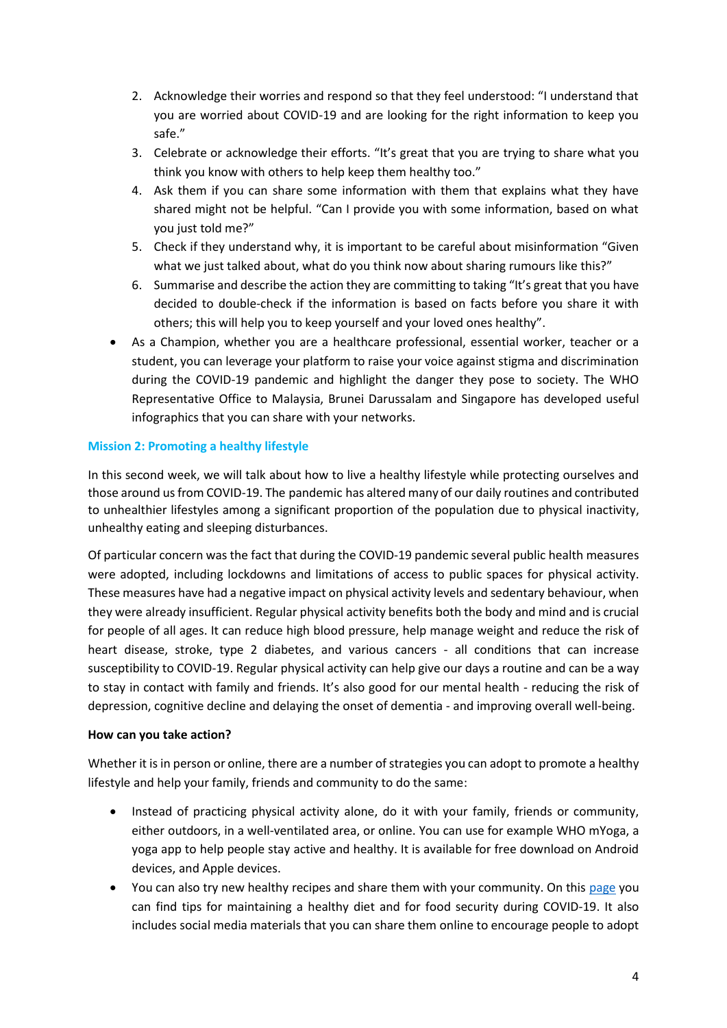- 2. Acknowledge their worries and respond so that they feel understood: "I understand that you are worried about COVID-19 and are looking for the right information to keep you safe."
- 3. Celebrate or acknowledge their efforts. "It's great that you are trying to share what you think you know with others to help keep them healthy too."
- 4. Ask them if you can share some information with them that explains what they have shared might not be helpful. "Can I provide you with some information, based on what you just told me?"
- 5. Check if they understand why, it is important to be careful about misinformation "Given what we just talked about, what do you think now about sharing rumours like this?"
- 6. Summarise and describe the action they are committing to taking "It's great that you have decided to double-check if the information is based on facts before you share it with others; this will help you to keep yourself and your loved ones healthy".
- As a Champion, whether you are a healthcare professional, essential worker, teacher or a student, you can leverage your platform to raise your voice against stigma and discrimination during the COVID-19 pandemic and highlight the danger they pose to society. The WHO Representative Office to Malaysia, Brunei Darussalam and Singapore has developed useful infographics that you can share with your networks.

# **Mission 2: Promoting a healthy lifestyle**

In this second week, we will talk about how to live a healthy lifestyle while protecting ourselves and those around us from COVID-19. The pandemic has altered many of our daily routines and contributed to unhealthier lifestyles among a significant proportion of the population due to physical inactivity, unhealthy eating and sleeping disturbances.

Of particular concern was the fact that during the COVID-19 pandemic several public health measures were adopted, including lockdowns and limitations of access to public spaces for physical activity. These measures have had a negative impact on physical activity levels and sedentary behaviour, when they were already insufficient. Regular physical activity benefits both the body and mind and is crucial for people of all ages. It can reduce high blood pressure, help manage weight and reduce the risk of heart disease, stroke, type 2 diabetes, and various cancers - all conditions that can increase susceptibility to COVID-19. Regular physical activity can help give our days a routine and can be a way to stay in contact with family and friends. It's also good for our mental health - reducing the risk of depression, cognitive decline and delaying the onset of dementia - and improving overall well-being.

## **How can you take action?**

Whether it is in person or online, there are a number of strategies you can adopt to promote a healthy lifestyle and help your family, friends and community to do the same:

- Instead of practicing physical activity alone, do it with your family, friends or community, either outdoors, in a well-ventilated area, or online. You can use for example WHO mYoga, a yoga app to help people stay active and healthy. It is available for free download on Android devices, and Apple devices.
- You can also try new healthy recipes and share them with your community. On this [page](https://www.who.int/campaigns/connecting-the-world-to-combat-coronavirus/healthyathome/healthyathome---healthy-diet) you can find tips for maintaining a healthy diet and for food security during COVID-19. It also includes social media materials that you can share them online to encourage people to adopt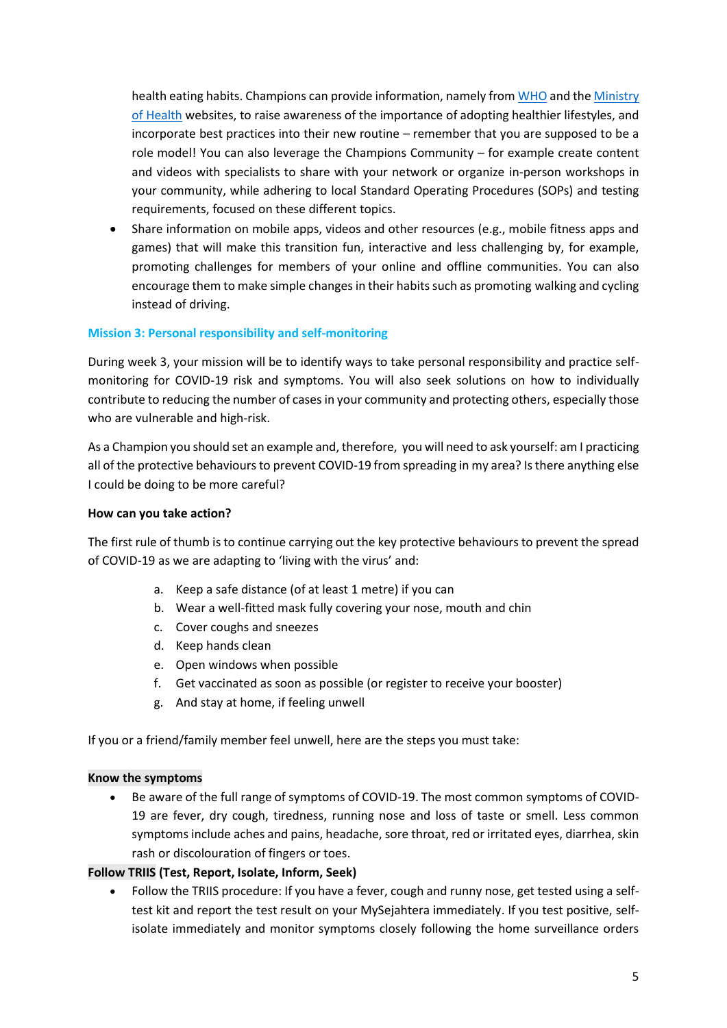health eating habits. Champions can provide information, namely fro[m WHO](https://www.who.int/news-room/fact-sheets/detail/physical-activity) and th[e Ministry](https://www.infosihat.gov.my/)  [of Health](https://www.infosihat.gov.my/) websites, to raise awareness of the importance of adopting healthier lifestyles, and incorporate best practices into their new routine – remember that you are supposed to be a role model! You can also leverage the Champions Community – for example create content and videos with specialists to share with your network or organize in-person workshops in your community, while adhering to local Standard Operating Procedures (SOPs) and testing requirements, focused on these different topics.

• Share information on mobile apps, videos and other resources (e.g., mobile fitness apps and games) that will make this transition fun, interactive and less challenging by, for example, promoting challenges for members of your online and offline communities. You can also encourage them to make simple changes in their habits such as promoting walking and cycling instead of driving.

## **Mission 3: Personal responsibility and self-monitoring**

During week 3, your mission will be to identify ways to take personal responsibility and practice selfmonitoring for COVID-19 risk and symptoms. You will also seek solutions on how to individually contribute to reducing the number of cases in your community and protecting others, especially those who are vulnerable and high-risk.

As a Champion you should set an example and, therefore, you will need to ask yourself: am I practicing all of the protective behaviours to prevent COVID-19 from spreading in my area? Is there anything else I could be doing to be more careful?

## **How can you take action?**

The first rule of thumb is to continue carrying out the key protective behaviours to prevent the spread of COVID-19 as we are adapting to 'living with the virus' and:

- a. Keep a safe distance (of at least 1 metre) if you can
- b. Wear a well-fitted mask fully covering your nose, mouth and chin
- c. Cover coughs and sneezes
- d. Keep hands clean
- e. Open windows when possible
- f. Get vaccinated as soon as possible (or register to receive your booster)
- g. And stay at home, if feeling unwell

If you or a friend/family member feel unwell, here are the steps you must take:

### **Know the symptoms**

• Be aware of the full range of symptoms of COVID-19. The most common symptoms of COVID-19 are fever, dry cough, tiredness, running nose and loss of taste or smell. Less common symptoms include aches and pains, headache, sore throat, red or irritated eyes, diarrhea, skin rash or discolouration of fingers or toes.

### **Follow TRIIS (Test, Report, Isolate, Inform, Seek)**

• Follow the TRIIS procedure: If you have a fever, cough and runny nose, get tested using a selftest kit and report the test result on your MySejahtera immediately. If you test positive, selfisolate immediately and monitor symptoms closely following the home surveillance orders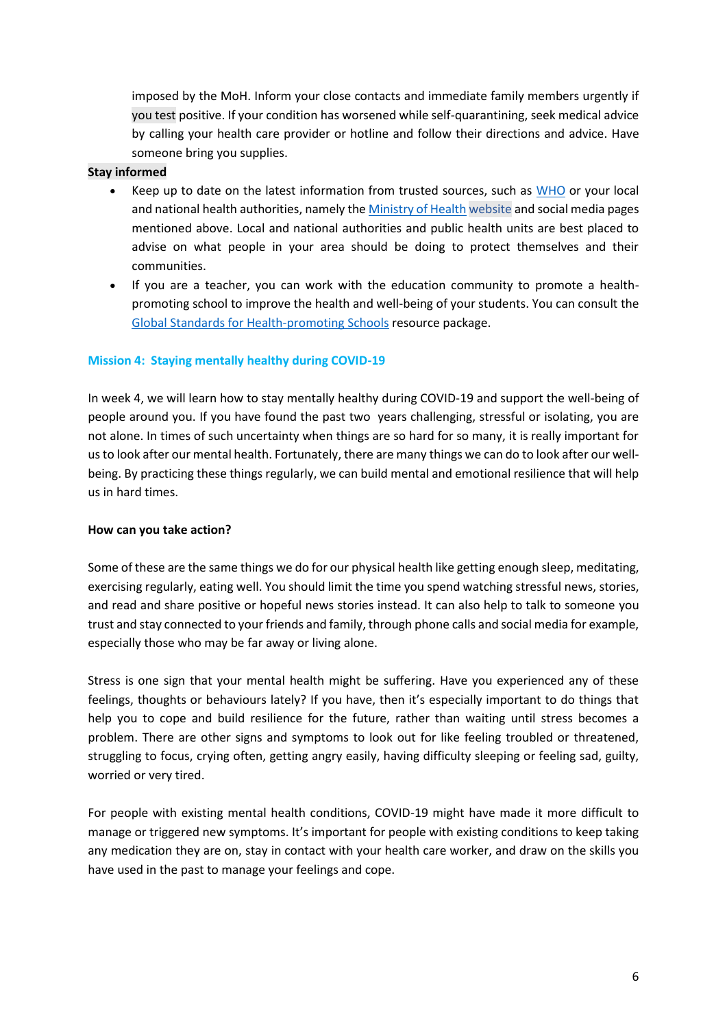imposed by the MoH. Inform your close contacts and immediate family members urgently if you test positive. If your condition has worsened while self-quarantining, seek medical advice by calling your health care provider or hotline and follow their directions and advice. Have someone bring you supplies.

## **Stay informed**

- Keep up to date on the latest information from trusted sources, such as [WHO](https://www.who.int/emergencies/diseases/novel-coronavirus-2019/advice-for-public) or your local and national health authorities, namely the [Ministry of Health](https://covid-19.moh.gov.my/) website and social media pages mentioned above. Local and national authorities and public health units are best placed to advise on what people in your area should be doing to protect themselves and their communities.
- If you are a teacher, you can work with the education community to promote a healthpromoting school to improve the health and well-being of your students. You can consult the [Global Standards for Health-promoting Schools](https://www.who.int/news/item/22-06-2021-unesco-and-who-urge-countries-to-make-every-school-a-health-promoting-school) resource package.

## **Mission 4: Staying mentally healthy during COVID-19**

In week 4, we will learn how to stay mentally healthy during COVID-19 and support the well-being of people around you. If you have found the past two years challenging, stressful or isolating, you are not alone. In times of such uncertainty when things are so hard for so many, it is really important for us to look after our mental health. Fortunately, there are many things we can do to look after our wellbeing. By practicing these things regularly, we can build mental and emotional resilience that will help us in hard times.

### **How can you take action?**

Some of these are the same things we do for our physical health like getting enough sleep, meditating, exercising regularly, eating well. You should limit the time you spend watching stressful news, stories, and read and share positive or hopeful news stories instead. It can also help to talk to someone you trust and stay connected to your friends and family, through phone calls and social media for example, especially those who may be far away or living alone.

Stress is one sign that your mental health might be suffering. Have you experienced any of these feelings, thoughts or behaviours lately? If you have, then it's especially important to do things that help you to cope and build resilience for the future, rather than waiting until stress becomes a problem. There are other signs and symptoms to look out for like feeling troubled or threatened, struggling to focus, crying often, getting angry easily, having difficulty sleeping or feeling sad, guilty, worried or very tired.

For people with existing mental health conditions, COVID-19 might have made it more difficult to manage or triggered new symptoms. It's important for people with existing conditions to keep taking any medication they are on, stay in contact with your health care worker, and draw on the skills you have used in the past to manage your feelings and cope.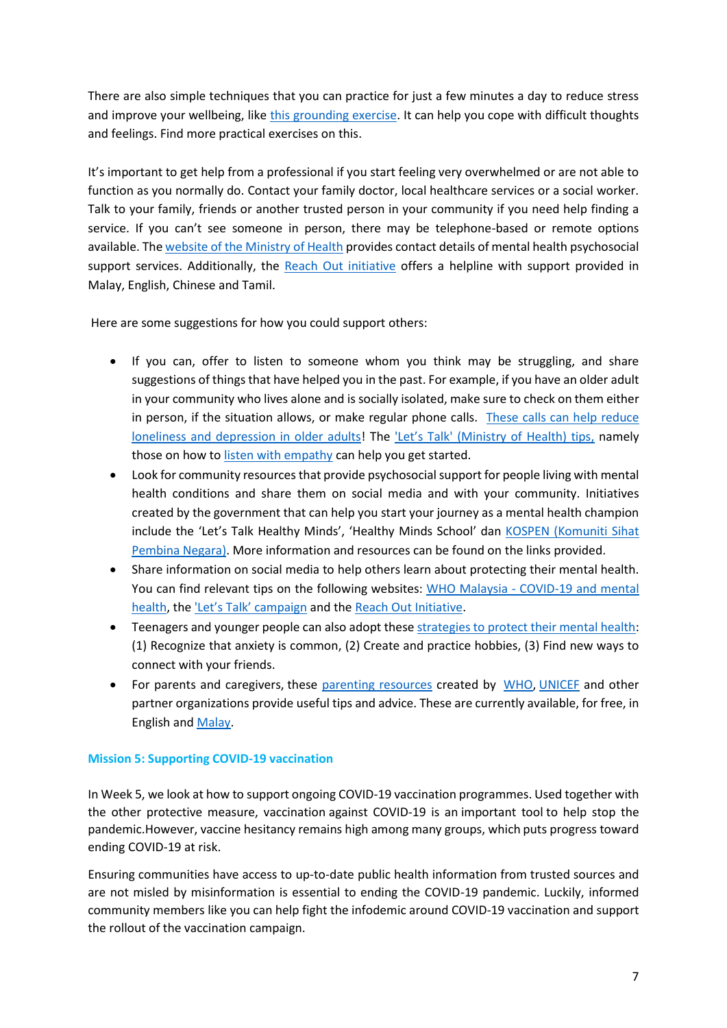There are also simple techniques that you can practice for just a few minutes a day to reduce stress and improve your wellbeing, like [this grounding exercise.](https://youtu.be/DIT3XwAto64) It can help you cope with difficult thoughts and feelings. Find more practical exercises on this.

It's important to get help from a professional if you start feeling very overwhelmed or are not able to function as you normally do. Contact your family doctor, local healthcare services or a social worker. Talk to your family, friends or another trusted person in your community if you need help finding a service. If you can't see someone in person, there may be telephone-based or remote options available. Th[e website of the Ministry of Health](https://bit.ly/3ICQ4XJ) provides contact details of mental health psychosocial support services. Additionally, the [Reach Out initiative](https://reachout.my/#howcanwehelp) offers a helpline with support provided in Malay, English, Chinese and Tamil.

Here are some suggestions for how you could support others:

- If you can, offer to listen to someone whom you think may be struggling, and share suggestions of things that have helped you in the past. For example, if you have an older adult in your community who lives alone and is socially isolated, make sure to check on them either in person, if the situation allows, or make regular phone calls. These calls can help reduce [loneliness and depression in older adults!](https://www.ama-assn.org/delivering-care/population-care/empathetic-phone-calls-reduce-loneliness-depression-older-adults) The ['Let's Talk' \(Ministry of Health\) tips](https://www.moh.gov.my/moh/resources/Portal%20Bahagian/Pendidikan%20Kesihatan/ANMS/Lets%20TALK/Infografik%20Lets%20TALK/Dengar_tanpa_menghukum_1.jpg), namely those on how t[o listen with empathy](https://www.moh.gov.my/moh/resources/Portal%20Bahagian/Pendidikan%20Kesihatan/ANMS/Lets%20TALK/Infografik%20Lets%20TALK/Dengar_tanpa_menghukum_2.jpg) can help you get started.
- Look for community resources that provide psychosocial support for people living with mental health conditions and share them on social media and with your community. Initiatives created by the government that can help you start your journey as a mental health champion include the 'Let's Talk Healthy Minds', 'Healthy Minds School' dan [KOSPEN \(Komuniti Sihat](https://www.infosihat.gov.my/projek-khas/kospen.html)  [Pembina Negara\).](https://www.infosihat.gov.my/projek-khas/kospen.html) More information and resources can be found on the links provided.
- Share information on social media to help others learn about protecting their mental health. You can find relevant tips on the following websites: WHO Malaysia - [COVID-19 and mental](https://www.who.int/malaysia/emergencies/covid-19-in-malaysia/information/mental-health)  [health,](https://www.who.int/malaysia/emergencies/covid-19-in-malaysia/information/mental-health) the ['Let's Talk' campaign](https://www.infosihat.gov.my/multimedia/video/tag/Let) and the [Reach Out Initiative.](https://reachout.my/about-us/)
- Teenagers and younger people can also adopt thes[e strategies to protect their mental health:](file:///C:/Users/inaaragulamhussen/Downloads/6%20strategies%20for%20teens%20facing%20a%20new%20(temporary)%20normal) (1) Recognize that anxiety is common, (2) Create and practice hobbies, (3) Find new ways to connect with your friends.
- For parents and caregivers, these [parenting resources](https://www.unicef.org/malaysia/parenting-resources#oneonone) created by [WHO,](https://www.who.int/) [UNICEF](https://www.unicef.org/) and other partner organizations provide useful tips and advice. These are currently available, for free, in English and [Malay.](https://www.unicef.org/malaysia/sumber-informasi-untuk-ibu-bapa)

## **Mission 5: Supporting COVID-19 vaccination**

In Week 5, we look at how to support ongoing COVID-19 vaccination programmes. Used together with the other protective measure, vaccination against COVID-19 is an important tool to help stop the pandemic.However, vaccine hesitancy remains high among many groups, which puts progress toward ending COVID-19 at risk.

Ensuring communities have access to up-to-date public health information from trusted sources and are not misled by misinformation is essential to ending the COVID-19 pandemic. Luckily, informed community members like you can help fight the infodemic around COVID-19 vaccination and support the rollout of the vaccination campaign.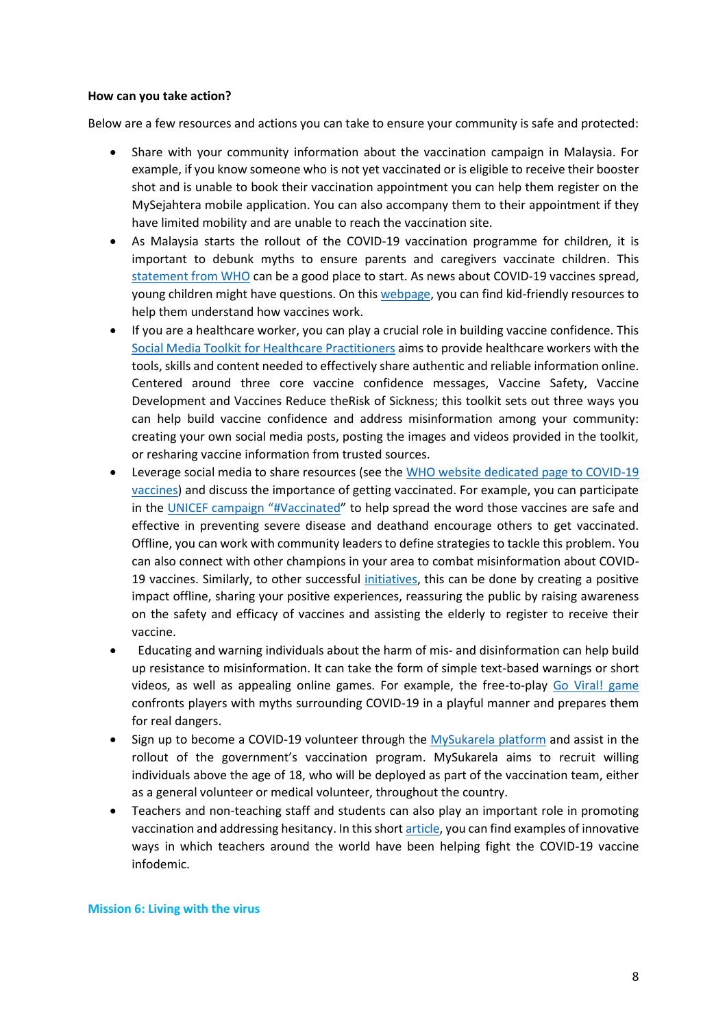#### **How can you take action?**

Below are a few resources and actions you can take to ensure your community is safe and protected:

- Share with your community information about the vaccination campaign in Malaysia. For example, if you know someone who is not yet vaccinated or is eligible to receive their booster shot and is unable to book their vaccination appointment you can help them register on the MySejahtera mobile application. You can also accompany them to their appointment if they have limited mobility and are unable to reach the vaccination site.
- As Malaysia starts the rollout of the COVID-19 vaccination programme for children, it is important to debunk myths to ensure parents and caregivers vaccinate children. This [statement from WHO](https://www.who.int/news/item/24-11-2021-interim-statement-on-covid-19-vaccination-for-children-and-adolescents) can be a good place to start. As news about COVID-19 vaccines spread, young children might have questions. On thi[s webpage,](https://www.unicef.org/malaysia/stories/how-talk-your-children-about-covid-19-vaccines) you can find kid-friendly resources to help them understand how vaccines work.
- If you are a healthcare worker, you can play a crucial role in building vaccine confidence. This [Social Media Toolkit for Healthcare Practitioners](https://www.who.int/publications/m/item/a-social-media-toolkit-for-healthcare-practitioners---desktop) aims to provide healthcare workers with the tools, skills and content needed to effectively share authentic and reliable information online. Centered around three core vaccine confidence messages, Vaccine Safety, Vaccine Development and Vaccines Reduce theRisk of Sickness; this toolkit sets out three ways you can help build vaccine confidence and address misinformation among your community: creating your own social media posts, posting the images and videos provided in the toolkit, or resharing vaccine information from trusted sources.
- Leverage social media to share resources (see th[e WHO website dedicated page to COVID-19](https://www.who.int/news-room/questions-and-answers/item/coronavirus-disease-(covid-19)-vaccines)  [vaccines\)](https://www.who.int/news-room/questions-and-answers/item/coronavirus-disease-(covid-19)-vaccines) and discuss the importance of getting vaccinated. For example, you can participate in the [UNICEF campaign "#Vaccinated"](https://www.unicef.org/immunization/vaccinated) to help spread the word those vaccines are safe and effective in preventing severe disease and deathand encourage others to get vaccinated. Offline, you can work with community leaders to define strategies to tackle this problem. You can also connect with other champions in your area to combat misinformation about COVID-19 vaccines. Similarly, to other successful [initiatives,](https://www.unicef.org/jordan/stories/mafraq-aqaba-young-volunteers-are-leading-efforts-build-trust-covid-19-vaccines) this can be done by creating a positive impact offline, sharing your positive experiences, reassuring the public by raising awareness on the safety and efficacy of vaccines and assisting the elderly to register to receive their vaccine.
- Educating and warning individuals about the harm of mis- and disinformation can help build up resistance to misinformation. It can take the form of simple text-based warnings or short videos, as well as appealing online games. For example, the free-to-play [Go Viral! game](https://www.cam.ac.uk/stories/goviral) confronts players with myths surrounding COVID-19 in a playful manner and prepares them for real dangers.
- Sign up to become a COVID-19 volunteer through the [MySukarela platform](https://mysukarela.com/) and assist in the rollout of the government's vaccination program. MySukarela aims to recruit willing individuals above the age of 18, who will be deployed as part of the vaccination team, either as a general volunteer or medical volunteer, throughout the country.
- Teachers and non-teaching staff and students can also play an important role in promoting vaccination and addressing hesitancy. In this shor[t article,](https://www.edutopia.org/article/science-lessons-tap-student-curiosity-about-covid-19) you can find examples of innovative ways in which teachers around the world have been helping fight the COVID-19 vaccine infodemic.

#### **Mission 6: Living with the virus**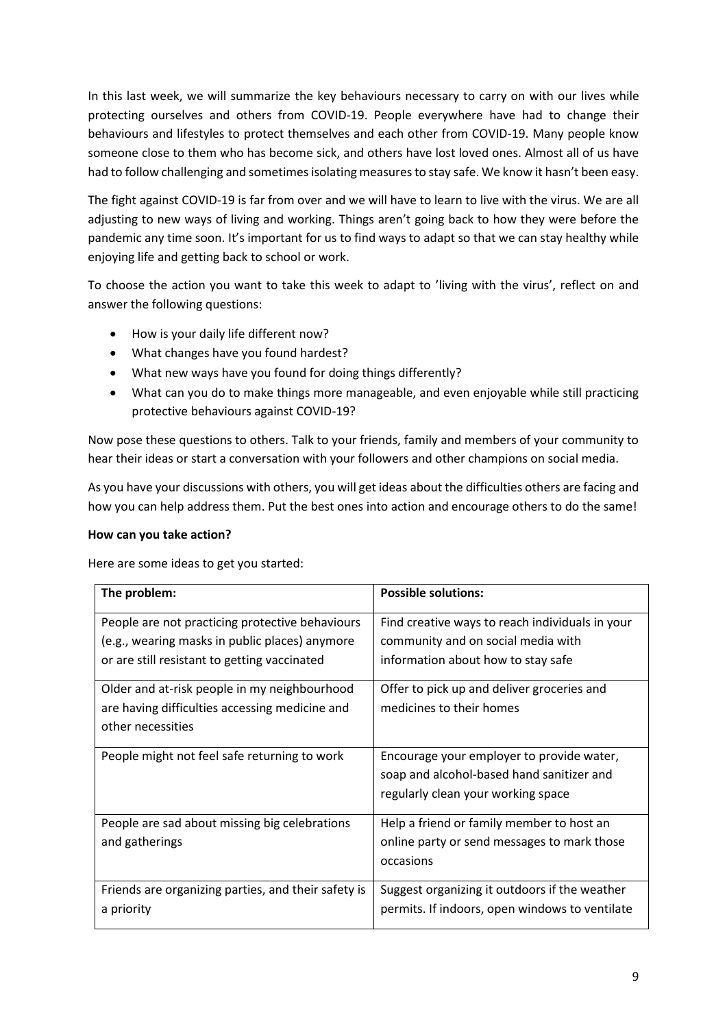In this last week, we will summarize the key behaviours necessary to carry on with our lives while protecting ourselves and others from COVID-19. People everywhere have had to change their behaviours and lifestyles to protect themselves and each other from COVID-19. Many people know someone close to them who has become sick, and others have lost loved ones. Almost all of us have had to follow challenging and sometimes isolating measures to stay safe. We know it hasn't been easy.

The fight against COVID-19 is far from over and we will have to learn to live with the virus. We are all adjusting to new ways of living and working. Things aren't going back to how they were before the pandemic any time soon. It's important for us to find ways to adapt so that we can stay healthy while enjoying life and getting back to school or work.

To choose the action you want to take this week to adapt to 'living with the virus', reflect on and answer the following questions:

- How is your daily life different now?
- What changes have you found hardest?
- What new ways have you found for doing things differently?
- What can you do to make things more manageable, and even enjoyable while still practicing protective behaviours against COVID-19?

Now pose these questions to others. Talk to your friends, family and members of your community to hear their ideas or start a conversation with your followers and other champions on social media.

As you have your discussions with others, you will get ideas about the difficulties others are facing and how you can help address them. Put the best ones into action and encourage others to do the same!

## **How can you take action?**

Here are some ideas to get you started:

| The problem:                                                                                                                                      | <b>Possible solutions:</b>                                                                                                   |
|---------------------------------------------------------------------------------------------------------------------------------------------------|------------------------------------------------------------------------------------------------------------------------------|
| People are not practicing protective behaviours<br>(e.g., wearing masks in public places) anymore<br>or are still resistant to getting vaccinated | Find creative ways to reach individuals in your<br>community and on social media with<br>information about how to stay safe  |
| Older and at-risk people in my neighbourhood<br>are having difficulties accessing medicine and<br>other necessities                               | Offer to pick up and deliver groceries and<br>medicines to their homes                                                       |
| People might not feel safe returning to work                                                                                                      | Encourage your employer to provide water,<br>soap and alcohol-based hand sanitizer and<br>regularly clean your working space |
| People are sad about missing big celebrations<br>and gatherings                                                                                   | Help a friend or family member to host an<br>online party or send messages to mark those<br>occasions                        |
| Friends are organizing parties, and their safety is<br>a priority                                                                                 | Suggest organizing it outdoors if the weather<br>permits. If indoors, open windows to ventilate                              |